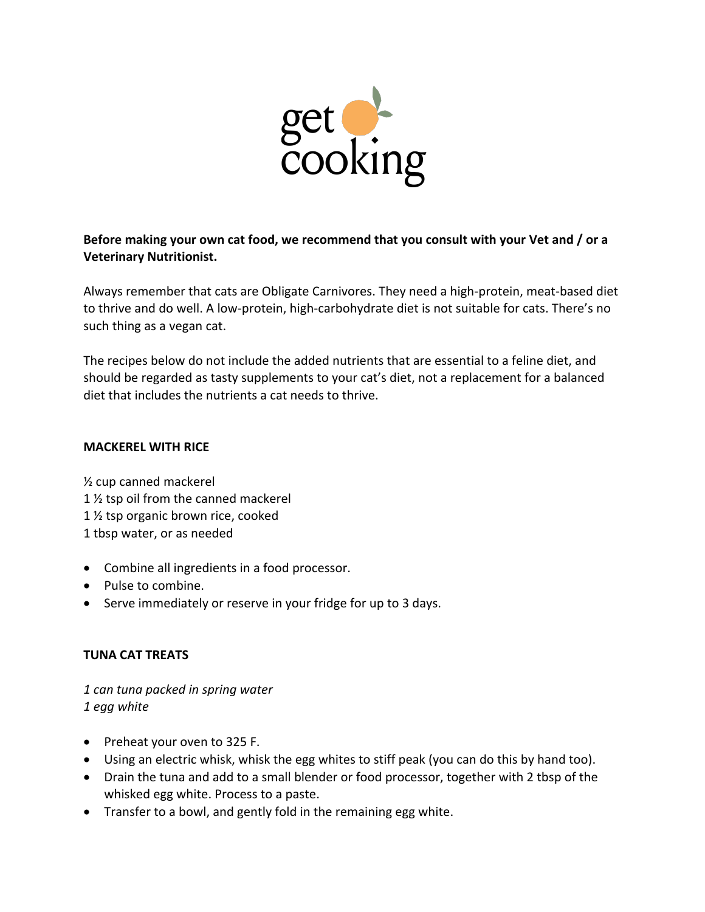

**Before making your own cat food, we recommend that you consult with your Vet and / or a Veterinary Nutritionist.** 

Always remember that cats are Obligate Carnivores. They need a high-protein, meat-based diet to thrive and do well. A low-protein, high-carbohydrate diet is not suitable for cats. There's no such thing as a vegan cat.

The recipes below do not include the added nutrients that are essential to a feline diet, and should be regarded as tasty supplements to your cat's diet, not a replacement for a balanced diet that includes the nutrients a cat needs to thrive.

## **MACKEREL WITH RICE**

½ cup canned mackerel 1 ½ tsp oil from the canned mackerel 1 ½ tsp organic brown rice, cooked 1 tbsp water, or as needed

- Combine all ingredients in a food processor.
- Pulse to combine.
- Serve immediately or reserve in your fridge for up to 3 days.

## **TUNA CAT TREATS**

*1 can tuna packed in spring water 1 egg white*

- Preheat your oven to 325 F.
- Using an electric whisk, whisk the egg whites to stiff peak (you can do this by hand too).
- Drain the tuna and add to a small blender or food processor, together with 2 tbsp of the whisked egg white. Process to a paste.
- Transfer to a bowl, and gently fold in the remaining egg white.